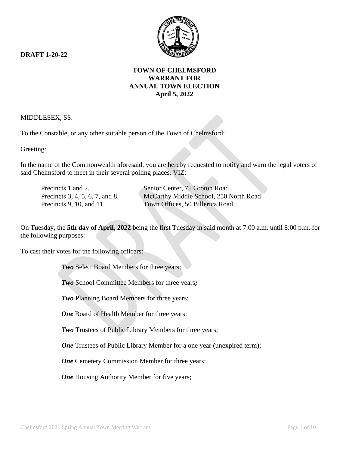**DRAFT 1-20-22**



# **TOWN OF CHELMSFORD WARRANT FOR ANNUAL TOWN ELECTION April 5, 2022**

MIDDLESEX, SS.

To the Constable, or any other suitable person of the Town of Chelmsford:

Greeting:

In the name of the Commonwealth aforesaid, you are hereby requested to notify and warn the legal voters of said Chelmsford to meet in their several polling places, VIZ:

Precincts 1 and 2. Senior Center, 75 Groton Road Precincts 3, 4, 5, 6, 7, and 8. McCarthy Middle School, 250 North Road Precincts 9, 10, and 11. Town Offices, 50 Billerica Road

On Tuesday, the **5th day of April, 2022** being the first Tuesday in said month at 7:00 a.m. until 8:00 p.m. for the following purposes:

To cast their votes for the following officers:

*Two* Select Board Members for three years;

*Two* School Committee Members for three years*;*

*Two* Planning Board Members for three years;

**One** Board of Health Member for three years;

*Two* Trustees of Public Library Members for three years;

*One* Trustees of Public Library Member for a one year (unexpired term);

*One* Cemetery Commission Member for three years;

*One* Housing Authority Member for five years;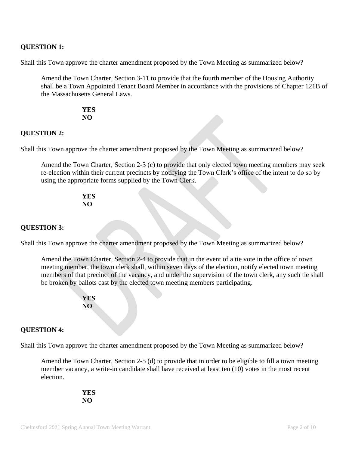# **QUESTION 1:**

Shall this Town approve the charter amendment proposed by the Town Meeting as summarized below?

Amend the Town Charter, Section 3-11 to provide that the fourth member of the Housing Authority shall be a Town Appointed Tenant Board Member in accordance with the provisions of Chapter 121B of the Massachusetts General Laws.

> **YES NO**

## **QUESTION 2:**

Shall this Town approve the charter amendment proposed by the Town Meeting as summarized below?

Amend the Town Charter, Section 2-3 (c) to provide that only elected town meeting members may seek re-election within their current precincts by notifying the Town Clerk's office of the intent to do so by using the appropriate forms supplied by the Town Clerk.

#### **YES NO**

## **QUESTION 3:**

Shall this Town approve the charter amendment proposed by the Town Meeting as summarized below?

Amend the Town Charter, Section 2-4 to provide that in the event of a tie vote in the office of town meeting member, the town clerk shall, within seven days of the election, notify elected town meeting members of that precinct of the vacancy, and under the supervision of the town clerk, any such tie shall be broken by ballots cast by the elected town meeting members participating.



# **QUESTION 4:**

Shall this Town approve the charter amendment proposed by the Town Meeting as summarized below?

Amend the Town Charter, Section 2-5 (d) to provide that in order to be eligible to fill a town meeting member vacancy, a write-in candidate shall have received at least ten (10) votes in the most recent election.

> **YES NO**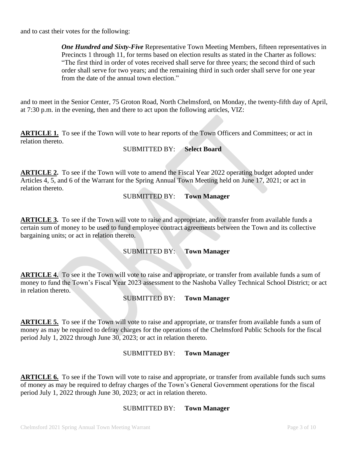and to cast their votes for the following:

*One Hundred and Sixty-Five* Representative Town Meeting Members, fifteen representatives in Precincts 1 through 11, for terms based on election results as stated in the Charter as follows: "The first third in order of votes received shall serve for three years; the second third of such order shall serve for two years; and the remaining third in such order shall serve for one year from the date of the annual town election."

and to meet in the Senior Center, 75 Groton Road, North Chelmsford, on Monday, the twenty-fifth day of April, at 7:30 p.m. in the evening, then and there to act upon the following articles, VIZ:

**ARTICLE 1.** To see if the Town will vote to hear reports of the Town Officers and Committees; or act in relation thereto.

SUBMITTED BY: **Select Board**

**ARTICLE 2.** To see if the Town will vote to amend the Fiscal Year 2022 operating budget adopted under Articles 4, 5, and 6 of the Warrant for the Spring Annual Town Meeting held on June 17, 2021; or act in relation thereto.

SUBMITTED BY: **Town Manager**

**ARTICLE 3.** To see if the Town will vote to raise and appropriate, and/or transfer from available funds a certain sum of money to be used to fund employee contract agreements between the Town and its collective bargaining units; or act in relation thereto.

### SUBMITTED BY: **Town Manager**

**ARTICLE 4.** To see it the Town will vote to raise and appropriate, or transfer from available funds a sum of money to fund the Town's Fiscal Year 2023 assessment to the Nashoba Valley Technical School District; or act in relation thereto.

### SUBMITTED BY: **Town Manager**

**ARTICLE 5.** To see if the Town will vote to raise and appropriate, or transfer from available funds a sum of money as may be required to defray charges for the operations of the Chelmsford Public Schools for the fiscal period July 1, 2022 through June 30, 2023; or act in relation thereto.

### SUBMITTED BY: **Town Manager**

**ARTICLE 6.** To see if the Town will vote to raise and appropriate, or transfer from available funds such sums of money as may be required to defray charges of the Town's General Government operations for the fiscal period July 1, 2022 through June 30, 2023; or act in relation thereto.

# SUBMITTED BY: **Town Manager**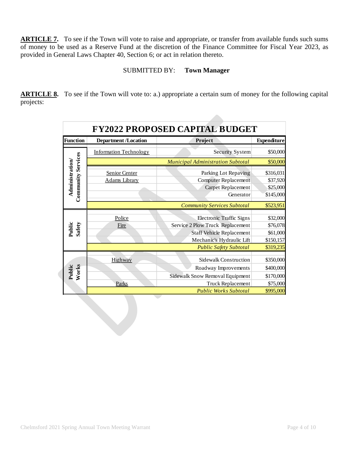**ARTICLE 7.** To see if the Town will vote to raise and appropriate, or transfer from available funds such sums of money to be used as a Reserve Fund at the discretion of the Finance Committee for Fiscal Year 2023, as provided in General Laws Chapter 40, Section 6; or act in relation thereto.

# SUBMITTED BY: **Town Manager**

**ARTICLE 8.** To see if the Town will vote to: a.) appropriate a certain sum of money for the following capital projects:

| <b>Function</b>           | <b>Department /Location</b>   | <b>FY2022 PROPOSED CAPITAL BUDGET</b><br>Project | <b>Expenditure</b> |
|---------------------------|-------------------------------|--------------------------------------------------|--------------------|
|                           |                               |                                                  |                    |
|                           | <b>Information Technology</b> | Security System                                  | \$50,000           |
| <b>Community Services</b> |                               | <b>Municipal Administration Subtotal</b>         | \$50,000           |
| Administration/           | Senior Center                 | Parking Lot Repaving                             | \$316,031          |
|                           | <b>Adams Library</b>          | <b>Computer Replacement</b>                      | \$37,920           |
|                           |                               | Carpet Replacement                               | \$25,000           |
|                           |                               | Generator                                        | \$145,000          |
|                           |                               | <b>Community Services Subtotal</b>               | \$523,951          |
|                           |                               |                                                  |                    |
|                           | Police                        | <b>Electronic Traffic Signs</b>                  | \$32,000           |
| Public<br>Safety          | Fire                          | Service 2 Plow Truck Replacement                 | \$76,078           |
|                           |                               | <b>Staff Vehicle Replacement</b>                 | \$61,000           |
|                           |                               | Mechanic's Hydraulic Lift                        | \$150,157          |
|                           |                               | <b>Public Safety Subtotal</b>                    | \$319,235          |
|                           | Highway                       | <b>Sidewalk Construction</b>                     | \$350,000          |
|                           |                               |                                                  |                    |
| Public<br>Works           |                               | Roadway Improvements                             | \$400,000          |
|                           |                               | Sidewalk Snow Removal Equipment                  | \$170,000          |
|                           | Parks                         | Truck Replacement                                | \$75,000           |
|                           |                               | <b>Public Works Subtotal</b>                     | \$995,000          |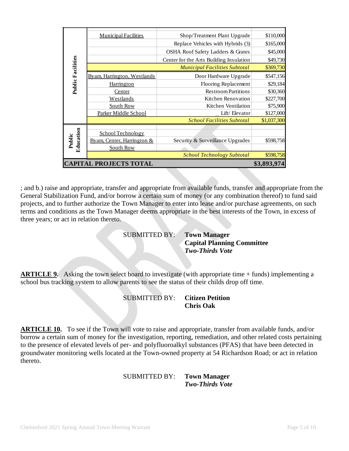|                                              | <b>Municipal Facilities</b>                       | Shop/Treatment Plant Upgrade            | \$110,000   |
|----------------------------------------------|---------------------------------------------------|-----------------------------------------|-------------|
|                                              |                                                   | Replace Vehicles with Hybrids (3)       | \$165,000   |
|                                              |                                                   | OSHA Roof Safety Ladders & Grates       | \$45,000    |
|                                              |                                                   | Center for the Arts Building Insulation | \$49,730    |
|                                              | <b>Municipal Facilities Subtotal</b><br>\$369,730 |                                         |             |
| <b>Public Facilities</b>                     | Byam, Harrington, Westlands                       | Door Hardware Upgrade                   | \$547,156   |
|                                              | <b>Harrington</b>                                 | Flooring Replacement                    | \$29,184    |
|                                              | Center                                            | <b>Restroom Partitions</b>              | \$30,360    |
|                                              | <b>Westlands</b>                                  | Kitchen Renovation                      | \$227,700   |
|                                              | South Row                                         | Kitchen Ventilation                     | \$75,900    |
|                                              | Parker Middle School                              | Lift/Elevator                           | \$127,000   |
|                                              | <b>School Facilities Subtotal</b>                 |                                         | \$1,037,300 |
|                                              |                                                   |                                         |             |
|                                              | School Technology                                 |                                         |             |
| Education<br>Public                          | Byam, Center, Harrington &                        | Security & Surveillance Upgrades        | \$598,758   |
|                                              | South Row                                         |                                         |             |
|                                              |                                                   | <b>School Technology Subtotal</b>       | \$598,758   |
| <b>CAPITAL PROJECTS TOTAL</b><br>\$3,893,974 |                                                   |                                         |             |
|                                              |                                                   |                                         |             |

; and b.) raise and appropriate, transfer and appropriate from available funds, transfer and appropriate from the General Stabilization Fund, and/or borrow a certain sum of money (or any combination thereof) to fund said projects, and to further authorize the Town Manager to enter into lease and/or purchase agreements, on such terms and conditions as the Town Manager deems appropriate in the best interests of the Town, in excess of three years; or act in relation thereto.

SUBMITTED BY: **Town Manager**

**Capital Planning Committee** *Two-Thirds Vote*

**ARTICLE 9.** Asking the town select board to investigate (with appropriate time + funds) implementing a school bus tracking system to allow parents to see the status of their childs drop off time.

## SUBMITTED BY: **Citizen Petition Chris Oak**

**ARTICLE 10.** To see if the Town will vote to raise and appropriate, transfer from available funds, and/or borrow a certain sum of money for the investigation, reporting, remediation, and other related costs pertaining to the presence of elevated levels of per- and polyfluoroalkyl substances (PFAS) that have been detected in groundwater monitoring wells located at the Town-owned property at 54 Richardson Road; or act in relation thereto.

#### SUBMITTED BY: **Town Manager** *Two-Thirds Vote*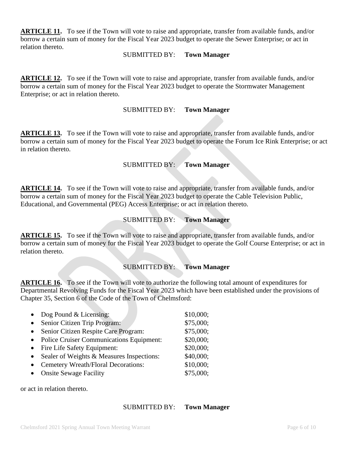**ARTICLE 11.** To see if the Town will vote to raise and appropriate, transfer from available funds, and/or borrow a certain sum of money for the Fiscal Year 2023 budget to operate the Sewer Enterprise; or act in relation thereto.

#### SUBMITTED BY: **Town Manager**

**ARTICLE 12.** To see if the Town will vote to raise and appropriate, transfer from available funds, and/or borrow a certain sum of money for the Fiscal Year 2023 budget to operate the Stormwater Management Enterprise; or act in relation thereto.

## SUBMITTED BY: **Town Manager**

**ARTICLE 13.** To see if the Town will vote to raise and appropriate, transfer from available funds, and/or borrow a certain sum of money for the Fiscal Year 2023 budget to operate the Forum Ice Rink Enterprise; or act in relation thereto.

### SUBMITTED BY: **Town Manager**

**ARTICLE 14.** To see if the Town will vote to raise and appropriate, transfer from available funds, and/or borrow a certain sum of money for the Fiscal Year 2023 budget to operate the Cable Television Public, Educational, and Governmental (PEG) Access Enterprise; or act in relation thereto.

## SUBMITTED BY: **Town Manager**

**ARTICLE 15.** To see if the Town will vote to raise and appropriate, transfer from available funds, and/or borrow a certain sum of money for the Fiscal Year 2023 budget to operate the Golf Course Enterprise; or act in relation thereto.

### SUBMITTED BY: **Town Manager**

**ARTICLE 16.** To see if the Town will vote to authorize the following total amount of expenditures for Departmental Revolving Funds for the Fiscal Year 2023 which have been established under the provisions of Chapter 35, Section 6 of the Code of the Town of Chelmsford:

| $\bullet$ | Dog Pound $& Lieensing:$                        | \$10,000; |
|-----------|-------------------------------------------------|-----------|
| $\bullet$ | Senior Citizen Trip Program:                    | \$75,000; |
| $\bullet$ | Senior Citizen Respite Care Program:            | \$75,000; |
| $\bullet$ | <b>Police Cruiser Communications Equipment:</b> | \$20,000; |
| $\bullet$ | Fire Life Safety Equipment:                     | \$20,000; |
| $\bullet$ | Sealer of Weights & Measures Inspections:       | \$40,000; |
| $\bullet$ | Cemetery Wreath/Floral Decorations:             | \$10,000; |
| $\bullet$ | <b>Onsite Sewage Facility</b>                   | \$75,000; |

or act in relation thereto.

#### SUBMITTED BY: **Town Manager**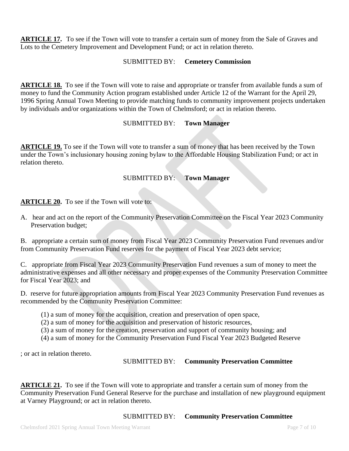**ARTICLE 17.** To see if the Town will vote to transfer a certain sum of money from the Sale of Graves and Lots to the Cemetery Improvement and Development Fund; or act in relation thereto.

# SUBMITTED BY: **Cemetery Commission**

**ARTICLE 18.** To see if the Town will vote to raise and appropriate or transfer from available funds a sum of money to fund the Community Action program established under Article 12 of the Warrant for the April 29, 1996 Spring Annual Town Meeting to provide matching funds to community improvement projects undertaken by individuals and/or organizations within the Town of Chelmsford; or act in relation thereto.

# SUBMITTED BY: **Town Manager**

**ARTICLE 19.** To see if the Town will vote to transfer a sum of money that has been received by the Town under the Town's inclusionary housing zoning bylaw to the Affordable Housing Stabilization Fund; or act in relation thereto.

# SUBMITTED BY: **Town Manager**

**ARTICLE 20.** To see if the Town will vote to:

A. hear and act on the report of the Community Preservation Committee on the Fiscal Year 2023 Community Preservation budget;

B. appropriate a certain sum of money from Fiscal Year 2023 Community Preservation Fund revenues and/or from Community Preservation Fund reserves for the payment of Fiscal Year 2023 debt service;

C. appropriate from Fiscal Year 2023 Community Preservation Fund revenues a sum of money to meet the administrative expenses and all other necessary and proper expenses of the Community Preservation Committee for Fiscal Year 2023; and

D. reserve for future appropriation amounts from Fiscal Year 2023 Community Preservation Fund revenues as recommended by the Community Preservation Committee:

- (1) a sum of money for the acquisition, creation and preservation of open space,
- (2) a sum of money for the acquisition and preservation of historic resources,
- (3) a sum of money for the creation, preservation and support of community housing; and
- (4) a sum of money for the Community Preservation Fund Fiscal Year 2023 Budgeted Reserve

; or act in relation thereto.

# SUBMITTED BY: **Community Preservation Committee**

**ARTICLE 21.** To see if the Town will vote to appropriate and transfer a certain sum of money from the Community Preservation Fund General Reserve for the purchase and installation of new playground equipment at Varney Playground; or act in relation thereto.

SUBMITTED BY: **Community Preservation Committee**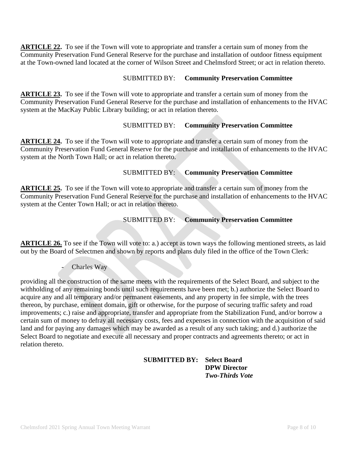**ARTICLE 22.** To see if the Town will vote to appropriate and transfer a certain sum of money from the Community Preservation Fund General Reserve for the purchase and installation of outdoor fitness equipment at the Town-owned land located at the corner of Wilson Street and Chelmsford Street; or act in relation thereto.

## SUBMITTED BY: **Community Preservation Committee**

**ARTICLE 23.** To see if the Town will vote to appropriate and transfer a certain sum of money from the Community Preservation Fund General Reserve for the purchase and installation of enhancements to the HVAC system at the MacKay Public Library building; or act in relation thereto.

# SUBMITTED BY: **Community Preservation Committee**

**ARTICLE 24.** To see if the Town will vote to appropriate and transfer a certain sum of money from the Community Preservation Fund General Reserve for the purchase and installation of enhancements to the HVAC system at the North Town Hall; or act in relation thereto.

## SUBMITTED BY: **Community Preservation Committee**

**ARTICLE 25.** To see if the Town will vote to appropriate and transfer a certain sum of money from the Community Preservation Fund General Reserve for the purchase and installation of enhancements to the HVAC system at the Center Town Hall; or act in relation thereto.

# SUBMITTED BY: **Community Preservation Committee**

**ARTICLE 26.** To see if the Town will vote to: a.) accept as town ways the following mentioned streets, as laid out by the Board of Selectmen and shown by reports and plans duly filed in the office of the Town Clerk:

Charles Way

providing all the construction of the same meets with the requirements of the Select Board, and subject to the withholding of any remaining bonds until such requirements have been met; b.) authorize the Select Board to acquire any and all temporary and/or permanent easements, and any property in fee simple, with the trees thereon, by purchase, eminent domain, gift or otherwise, for the purpose of securing traffic safety and road improvements; c.) raise and appropriate, transfer and appropriate from the Stabilization Fund, and/or borrow a certain sum of money to defray all necessary costs, fees and expenses in connection with the acquisition of said land and for paying any damages which may be awarded as a result of any such taking; and d.) authorize the Select Board to negotiate and execute all necessary and proper contracts and agreements thereto; or act in relation thereto.

| <b>SUBMITTED BY:</b> Select Board |                        |
|-----------------------------------|------------------------|
|                                   | <b>DPW Director</b>    |
|                                   | <b>Two-Thirds Vote</b> |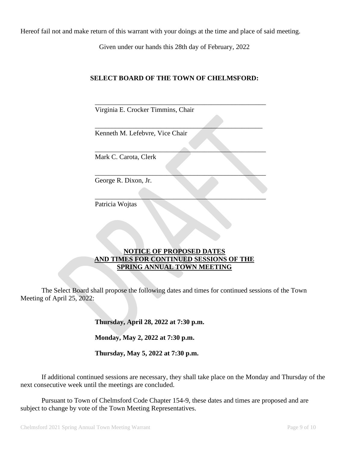Hereof fail not and make return of this warrant with your doings at the time and place of said meeting.

Given under our hands this 28th day of February, 2022

## **SELECT BOARD OF THE TOWN OF CHELMSFORD:**

\_\_\_\_\_\_\_\_\_\_\_\_\_\_\_\_\_\_\_\_\_\_\_\_\_\_\_\_\_\_\_\_\_\_\_\_\_\_\_\_\_\_\_\_\_\_\_\_\_\_

 $\overline{\phantom{a}}$  , where the contract of the contract of the contract of the contract of the contract of the contract of the contract of the contract of the contract of the contract of the contract of the contract of the contr

 $\qquad \qquad \qquad \qquad \qquad$ 

 $\mathcal{L} = \{ \mathcal{L} \mid \mathcal{L} \in \mathcal{L} \}$  , where  $\mathcal{L} = \{ \mathcal{L} \mid \mathcal{L} \in \mathcal{L} \}$  , where  $\mathcal{L} = \{ \mathcal{L} \mid \mathcal{L} \in \mathcal{L} \}$ 

 $\overline{\phantom{a}}$  , and the set of the set of the set of the set of the set of the set of the set of the set of the set of the set of the set of the set of the set of the set of the set of the set of the set of the set of the s

Virginia E. Crocker Timmins, Chair

Kenneth M. Lefebvre, Vice Chair

Mark C. Carota, Clerk

George R. Dixon, Jr.

Patricia Wojtas

## **NOTICE OF PROPOSED DATES AND TIMES FOR CONTINUED SESSIONS OF THE SPRING ANNUAL TOWN MEETING**

The Select Board shall propose the following dates and times for continued sessions of the Town Meeting of April 25, 2022:

**Thursday, April 28, 2022 at 7:30 p.m.**

**Monday, May 2, 2022 at 7:30 p.m.**

**Thursday, May 5, 2022 at 7:30 p.m.**

If additional continued sessions are necessary, they shall take place on the Monday and Thursday of the next consecutive week until the meetings are concluded.

Pursuant to Town of Chelmsford Code Chapter 154-9, these dates and times are proposed and are subject to change by vote of the Town Meeting Representatives.